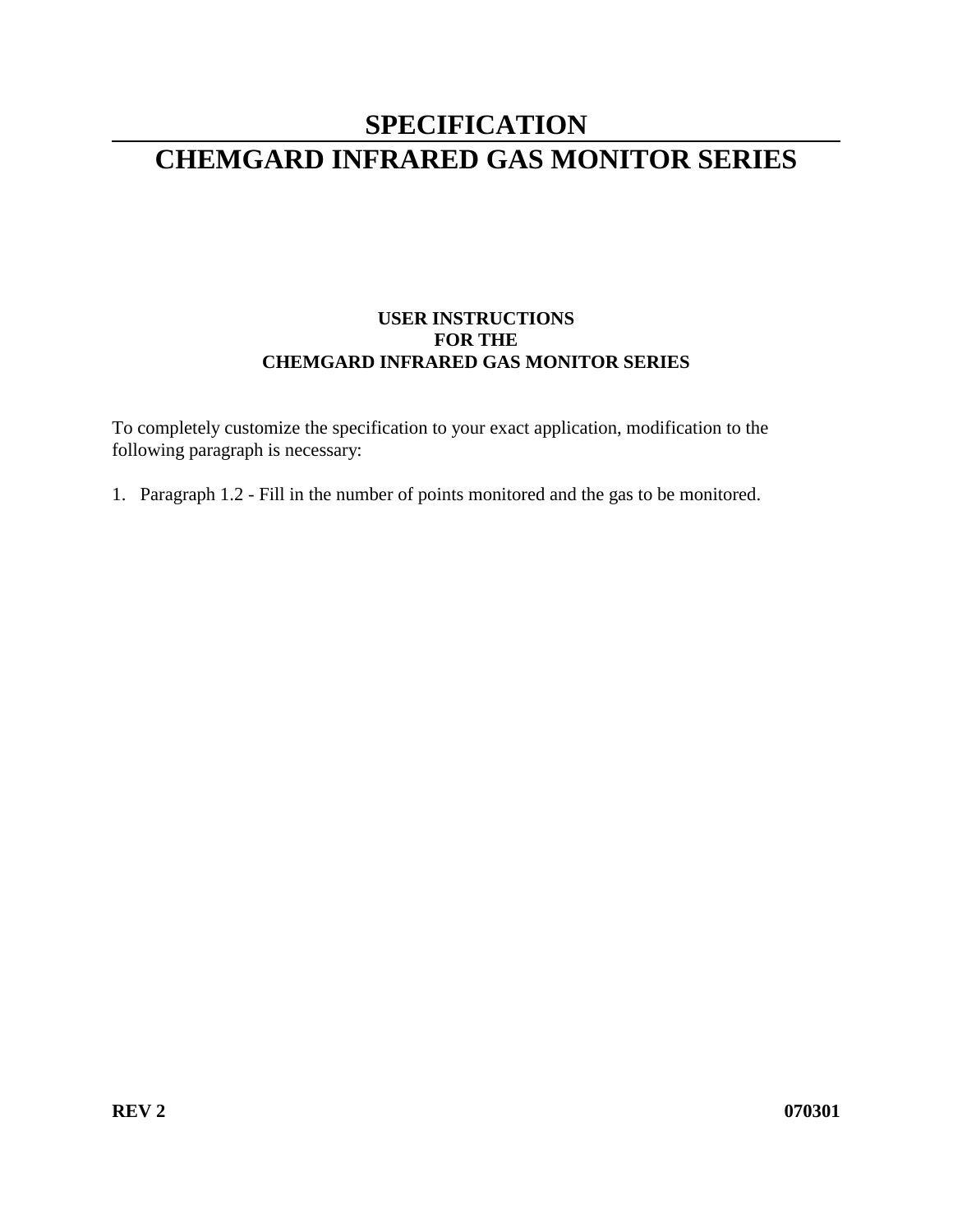# **SPECIFICATION CHEMGARD INFRARED GAS MONITOR SERIES**

## **USER INSTRUCTIONS FOR THE CHEMGARD INFRARED GAS MONITOR SERIES**

To completely customize the specification to your exact application, modification to the following paragraph is necessary:

1. Paragraph 1.2 - Fill in the number of points monitored and the gas to be monitored.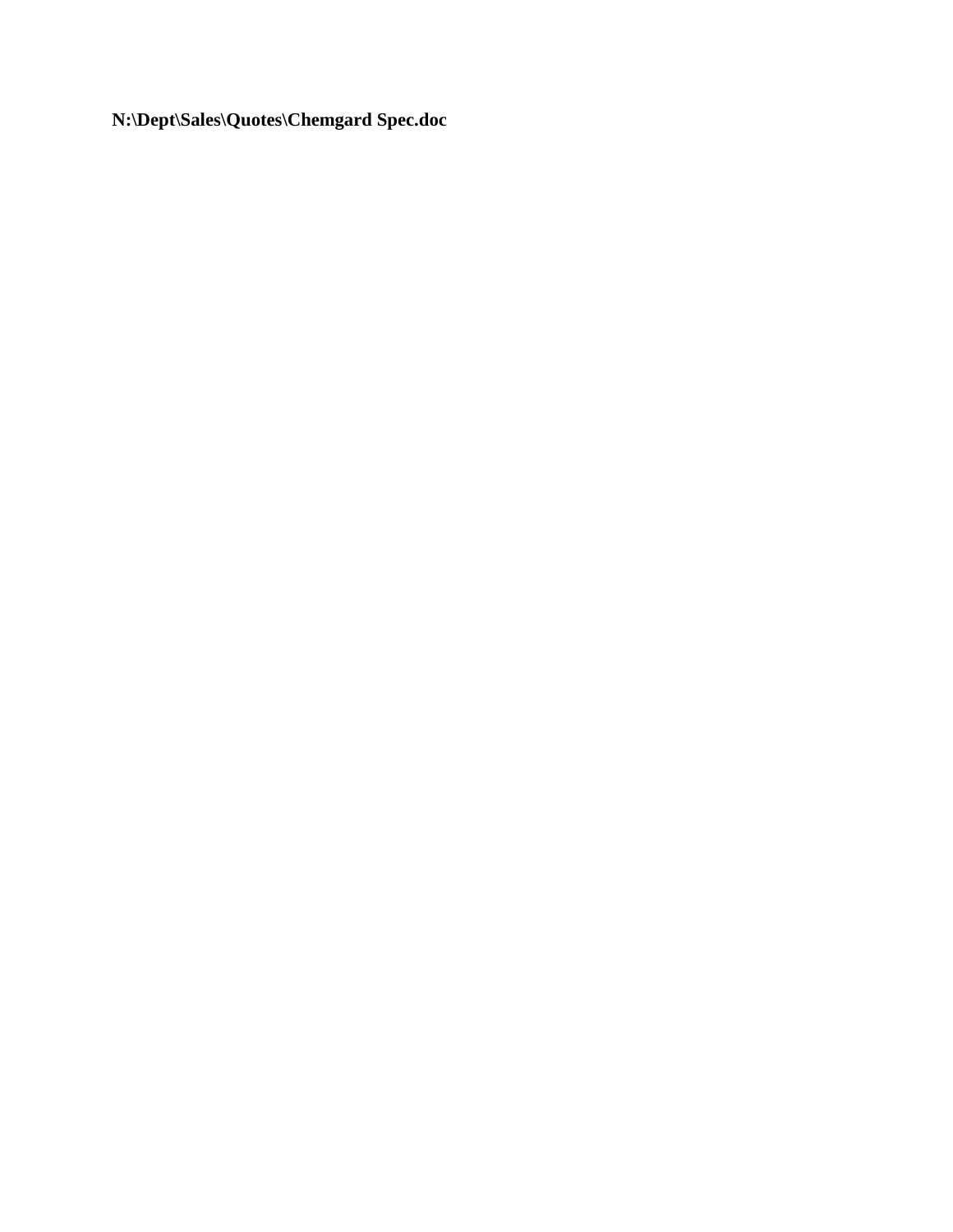**N:\Dept\Sales\Quotes\Chemgard Spec.doc**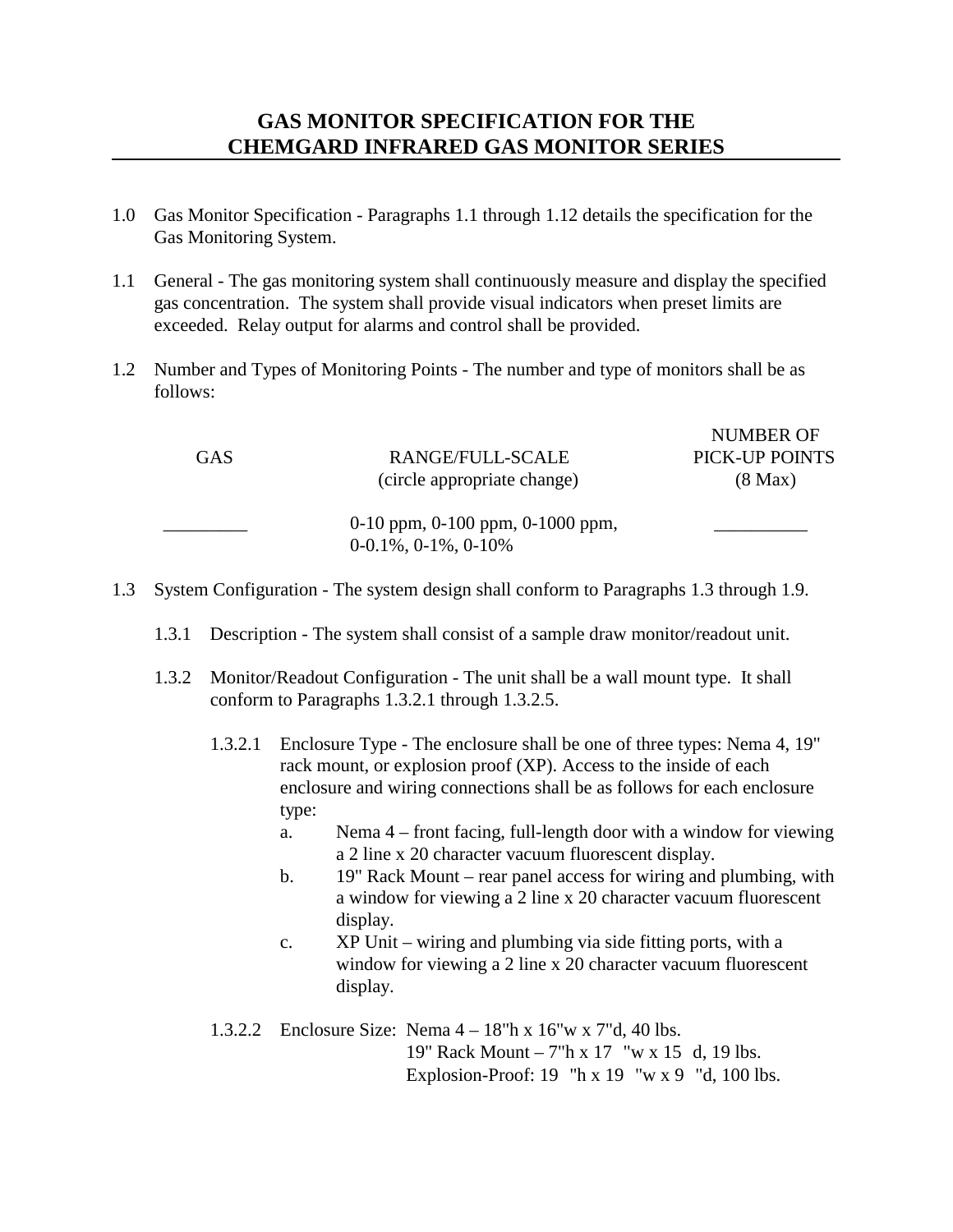## **GAS MONITOR SPECIFICATION FOR THE CHEMGARD INFRARED GAS MONITOR SERIES**

- 1.0 Gas Monitor Specification Paragraphs 1.1 through 1.12 details the specification for the Gas Monitoring System.
- 1.1 General The gas monitoring system shall continuously measure and display the specified gas concentration. The system shall provide visual indicators when preset limits are exceeded. Relay output for alarms and control shall be provided.
- 1.2 Number and Types of Monitoring Points The number and type of monitors shall be as follows:

| <b>GAS</b> | RANGE/FULL-SCALE<br>(circle appropriate change) | PICK-UP POINTS<br>$(8 \text{ Max})$ |
|------------|-------------------------------------------------|-------------------------------------|
|            | 0-10 ppm, $0-100$ ppm, $0-1000$ ppm,            |                                     |

NUMBER OF

1.3 System Configuration - The system design shall conform to Paragraphs 1.3 through 1.9.

0-0.1%, 0-1%, 0-10%

- 1.3.1 Description The system shall consist of a sample draw monitor/readout unit.
- 1.3.2 Monitor/Readout Configuration The unit shall be a wall mount type. It shall conform to Paragraphs 1.3.2.1 through 1.3.2.5.
	- 1.3.2.1 Enclosure Type The enclosure shall be one of three types: Nema 4, 19" rack mount, or explosion proof (XP). Access to the inside of each enclosure and wiring connections shall be as follows for each enclosure type:
		- a. Nema 4 front facing, full-length door with a window for viewing a 2 line x 20 character vacuum fluorescent display.
		- b. 19" Rack Mount rear panel access for wiring and plumbing, with a window for viewing a 2 line x 20 character vacuum fluorescent display.
		- c. XP Unit wiring and plumbing via side fitting ports, with a window for viewing a 2 line x 20 character vacuum fluorescent display.

1.3.2.2 Enclosure Size: Nema 4 – 18"h x 16"w x 7"d, 40 lbs. 19" Rack Mount – 7"h x 17 "w x 15 d, 19 lbs. Explosion-Proof: 19 "h x 19 "w x 9 "d, 100 lbs.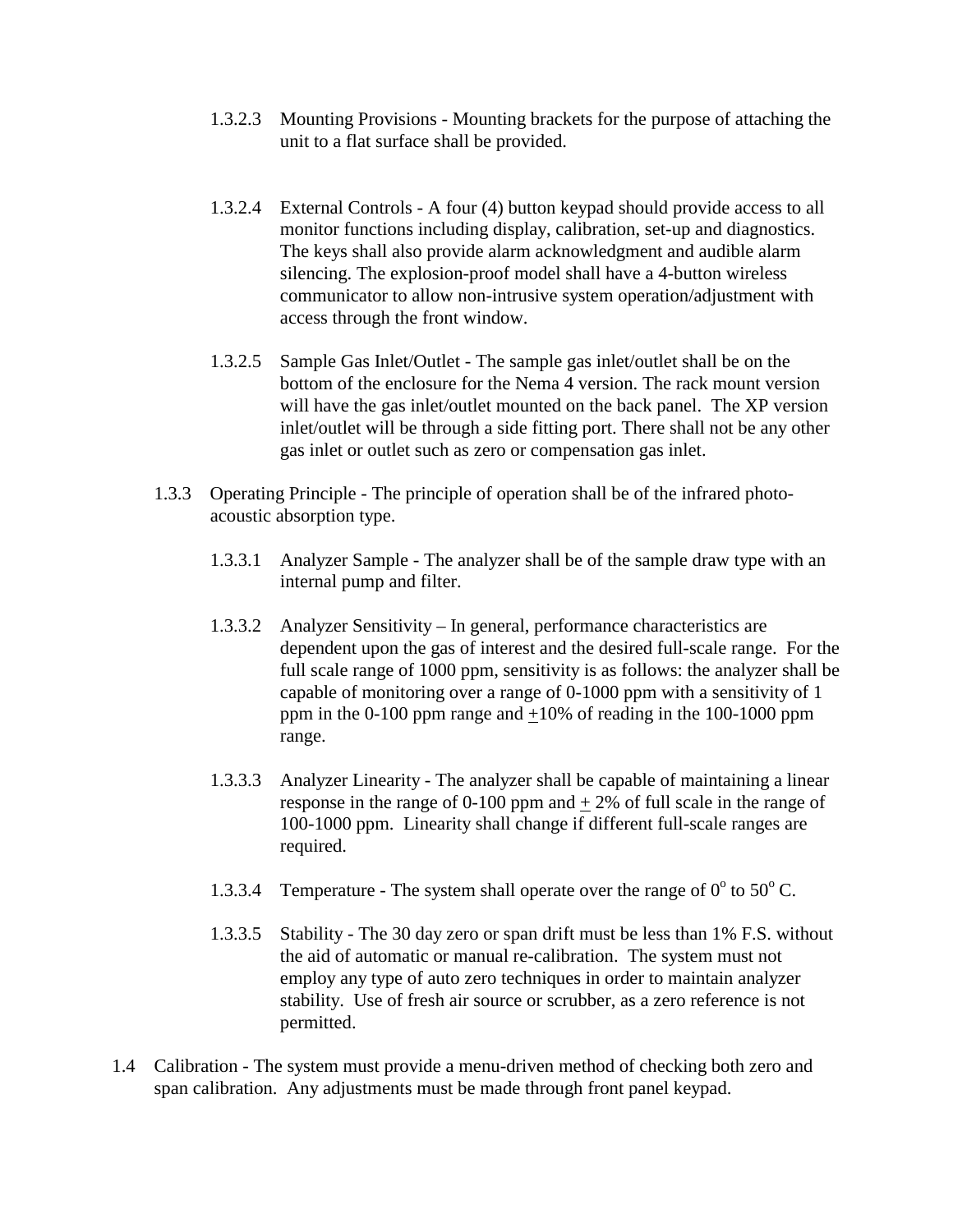- 1.3.2.3 Mounting Provisions Mounting brackets for the purpose of attaching the unit to a flat surface shall be provided.
- 1.3.2.4 External Controls A four (4) button keypad should provide access to all monitor functions including display, calibration, set-up and diagnostics. The keys shall also provide alarm acknowledgment and audible alarm silencing. The explosion-proof model shall have a 4-button wireless communicator to allow non-intrusive system operation/adjustment with access through the front window.
- 1.3.2.5 Sample Gas Inlet/Outlet The sample gas inlet/outlet shall be on the bottom of the enclosure for the Nema 4 version. The rack mount version will have the gas inlet/outlet mounted on the back panel. The XP version inlet/outlet will be through a side fitting port. There shall not be any other gas inlet or outlet such as zero or compensation gas inlet.
- 1.3.3 Operating Principle The principle of operation shall be of the infrared photoacoustic absorption type.
	- 1.3.3.1 Analyzer Sample The analyzer shall be of the sample draw type with an internal pump and filter.
	- 1.3.3.2 Analyzer Sensitivity In general, performance characteristics are dependent upon the gas of interest and the desired full-scale range. For the full scale range of 1000 ppm, sensitivity is as follows: the analyzer shall be capable of monitoring over a range of 0-1000 ppm with a sensitivity of 1 ppm in the 0-100 ppm range and +10% of reading in the 100-1000 ppm range.
	- 1.3.3.3 Analyzer Linearity The analyzer shall be capable of maintaining a linear response in the range of 0-100 ppm and  $\pm$  2% of full scale in the range of 100-1000 ppm. Linearity shall change if different full-scale ranges are required.
	- 1.3.3.4 Temperature The system shall operate over the range of  $0^{\circ}$  to  $50^{\circ}$  C.
	- 1.3.3.5 Stability The 30 day zero or span drift must be less than 1% F.S. without the aid of automatic or manual re-calibration. The system must not employ any type of auto zero techniques in order to maintain analyzer stability. Use of fresh air source or scrubber, as a zero reference is not permitted.
- 1.4 Calibration The system must provide a menu-driven method of checking both zero and span calibration. Any adjustments must be made through front panel keypad.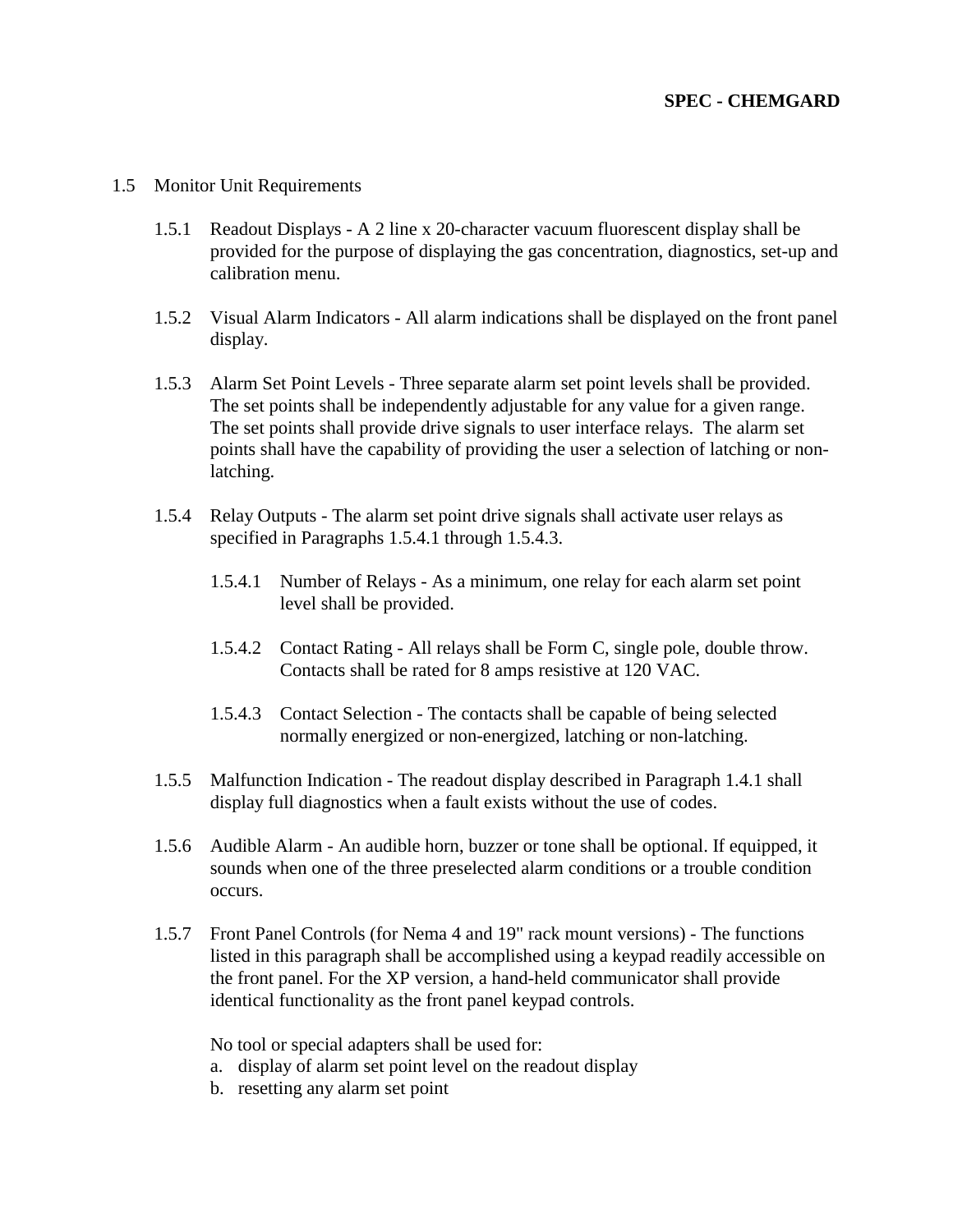### **SPEC - CHEMGARD**

- 1.5 Monitor Unit Requirements
	- 1.5.1 Readout Displays A 2 line x 20-character vacuum fluorescent display shall be provided for the purpose of displaying the gas concentration, diagnostics, set-up and calibration menu.
	- 1.5.2 Visual Alarm Indicators All alarm indications shall be displayed on the front panel display.
	- 1.5.3 Alarm Set Point Levels Three separate alarm set point levels shall be provided. The set points shall be independently adjustable for any value for a given range. The set points shall provide drive signals to user interface relays. The alarm set points shall have the capability of providing the user a selection of latching or nonlatching.
	- 1.5.4 Relay Outputs The alarm set point drive signals shall activate user relays as specified in Paragraphs 1.5.4.1 through 1.5.4.3.
		- 1.5.4.1 Number of Relays As a minimum, one relay for each alarm set point level shall be provided.
		- 1.5.4.2 Contact Rating All relays shall be Form C, single pole, double throw. Contacts shall be rated for 8 amps resistive at 120 VAC.
		- 1.5.4.3 Contact Selection The contacts shall be capable of being selected normally energized or non-energized, latching or non-latching.
	- 1.5.5 Malfunction Indication The readout display described in Paragraph 1.4.1 shall display full diagnostics when a fault exists without the use of codes.
	- 1.5.6 Audible Alarm An audible horn, buzzer or tone shall be optional. If equipped, it sounds when one of the three preselected alarm conditions or a trouble condition occurs.
	- 1.5.7 Front Panel Controls (for Nema 4 and 19" rack mount versions) The functions listed in this paragraph shall be accomplished using a keypad readily accessible on the front panel. For the XP version, a hand-held communicator shall provide identical functionality as the front panel keypad controls.

No tool or special adapters shall be used for:

- a. display of alarm set point level on the readout display
- b. resetting any alarm set point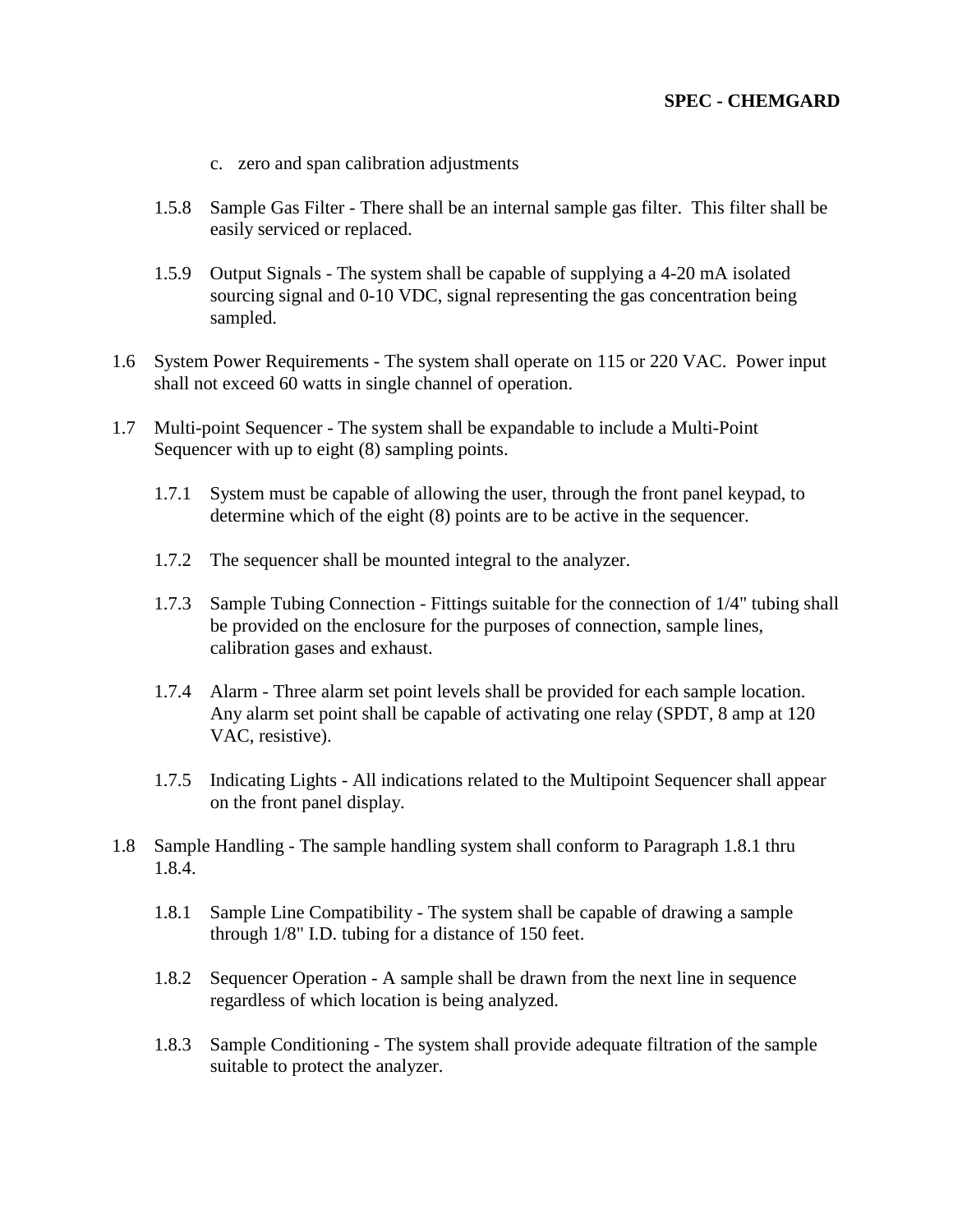### **SPEC - CHEMGARD**

- c. zero and span calibration adjustments
- 1.5.8 Sample Gas Filter There shall be an internal sample gas filter. This filter shall be easily serviced or replaced.
- 1.5.9 Output Signals The system shall be capable of supplying a 4-20 mA isolated sourcing signal and 0-10 VDC, signal representing the gas concentration being sampled.
- 1.6 System Power Requirements The system shall operate on 115 or 220 VAC. Power input shall not exceed 60 watts in single channel of operation.
- 1.7 Multi-point Sequencer The system shall be expandable to include a Multi-Point Sequencer with up to eight (8) sampling points.
	- 1.7.1 System must be capable of allowing the user, through the front panel keypad, to determine which of the eight (8) points are to be active in the sequencer.
	- 1.7.2 The sequencer shall be mounted integral to the analyzer.
	- 1.7.3 Sample Tubing Connection Fittings suitable for the connection of 1/4" tubing shall be provided on the enclosure for the purposes of connection, sample lines, calibration gases and exhaust.
	- 1.7.4 Alarm Three alarm set point levels shall be provided for each sample location. Any alarm set point shall be capable of activating one relay (SPDT, 8 amp at 120 VAC, resistive).
	- 1.7.5 Indicating Lights All indications related to the Multipoint Sequencer shall appear on the front panel display.
- 1.8 Sample Handling The sample handling system shall conform to Paragraph 1.8.1 thru 1.8.4.
	- 1.8.1 Sample Line Compatibility The system shall be capable of drawing a sample through 1/8" I.D. tubing for a distance of 150 feet.
	- 1.8.2 Sequencer Operation A sample shall be drawn from the next line in sequence regardless of which location is being analyzed.
	- 1.8.3 Sample Conditioning The system shall provide adequate filtration of the sample suitable to protect the analyzer.